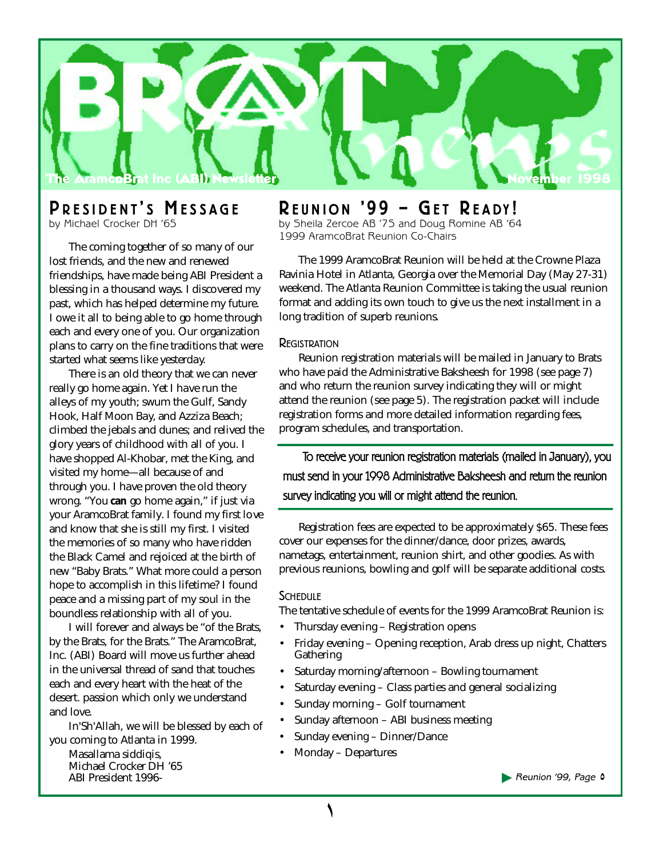

# **P R E S I D E N T ' <sup>S</sup> M E S S A G E**

by Michael Crocker DH '65

The coming together of so many of our lost friends, and the new and renewed friendships, have made being ABI President a blessing in a thousand ways. I discovered my past, which has helped determine my future. I owe it all to being able to go home through each and every one of you. Our organization plans to carry on the fine traditions that were started what seems like yesterday.

There is an old theory that we can never really go home again. Yet I have run the alleys of my youth; swum the Gulf, Sandy Hook, Half Moon Bay, and Azziza Beach; climbed the jebals and dunes; and relived the glory years of childhood with all of you. I have shopped Al-Khobar, met the King, and visited my home—all because of and through you. I have proven the old theory wrong. "You *can* go home again," if just via your AramcoBrat family. I found my first love and know that she is still my first. I visited the memories of so many who have ridden the Black Camel and rejoiced at the birth of new "Baby Brats." What more could a person hope to accomplish in this lifetime? I found peace and a missing part of my soul in the boundless relationship with all of you.

I will forever and always be "of the Brats, by the Brats, for the Brats." The AramcoBrat, Inc. (ABI) Board will move us further ahead in the universal thread of sand that touches each and every heart with the heat of the desert. passion which only we understand and love.

In'Sh'Allah, we will be blessed by each of you coming to Atlanta in 1999.

Masallama siddiqis, Michael Crocker DH '65 ABI President 1996-

## **R E U N I O N ' 9 9 – GE T R <sup>E</sup> A DY !**

by Sheila Zercoe AB '75 and Doug Romine AB '64 1999 AramcoBrat Reunion Co-Chairs

The 1999 AramcoBrat Reunion will be held at the Crowne Plaza Ravinia Hotel in Atlanta, Georgia over the Memorial Day (May 27-31) weekend. The Atlanta Reunion Committee is taking the usual reunion format and adding its own touch to give us the next installment in a long tradition of superb reunions.

### **REGISTRATION**

Reunion registration materials will be mailed in January to Brats who have paid the Administrative Baksheesh for 1998 (see page 7) and who return the reunion survey indicating they will or might attend the reunion (see page 5). The registration packet will include registration forms and more detailed information regarding fees, program schedules, and transportation.

To receive your reunion registration materials (mailed in January), you must send in your 1998 Administrative Baksheesh and return the reunion survey indicating you will or might attend the reunion.

Registration fees are expected to be approximately \$65. These fees cover our expenses for the dinner/dance, door prizes, awards, nametags, entertainment, reunion shirt, and other goodies. As with previous reunions, bowling and golf will be separate additional costs.

### **SCHEDULE**

The tentative schedule of events for the 1999 AramcoBrat Reunion is:

- Thursday evening Registration opens
- Friday evening Opening reception, Arab dress up night, Chatters **Gathering**
- Saturday morning/afternoon Bowling tournament
- Saturday evening Class parties and general socializing
- Sunday morning Golf tournament
- Sunday afternoon ABI business meeting
- Sunday evening Dinner/Dance
- Monday Departures

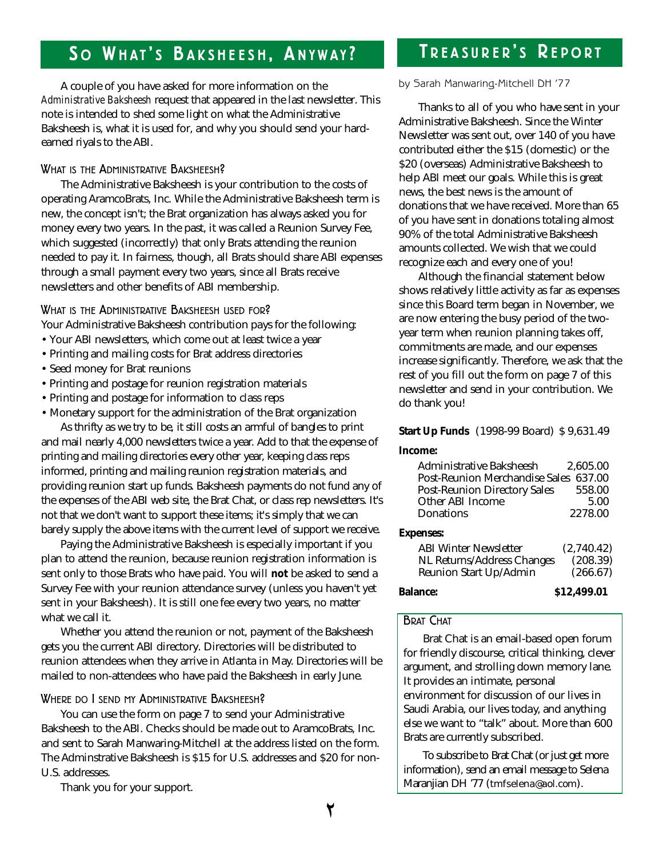# **S <sup>O</sup> W H AT ' <sup>S</sup> B A K S H E E S H , A N Y W A Y ?**

### A couple of you have asked for more information on the *Administrative Baksheesh* request that appeared in the last newsletter. This note is intended to shed some light on what the Administrative Baksheesh is, what it is used for, and why you should send your hardearned riyals to the ABI.

### WHAT IS THE ADMINISTRATIVE BAKSHEESH?

The Administrative Baksheesh is your contribution to the costs of operating AramcoBrats, Inc. While the Administrative Baksheesh term is new, the concept isn't; the Brat organization has always asked you for money every two years. In the past, it was called a Reunion Survey Fee, which suggested (incorrectly) that only Brats attending the reunion needed to pay it. In fairness, though, all Brats should share ABI expenses through a small payment every two years, since all Brats receive newsletters and other benefits of ABI membership.

WHAT IS THE ADMINISTRATIVE BAKSHEESH USED FOR?

Your Administrative Baksheesh contribution pays for the following:

- Your ABI newsletters, which come out at least twice a year
- Printing and mailing costs for Brat address directories
- Seed money for Brat reunions
- Printing and postage for reunion registration materials
- Printing and postage for information to class reps
- Monetary support for the administration of the Brat organization As thrifty as we try to be, it still costs an armful of bangles to print and mail nearly 4,000 newsletters twice a year. Add to that the expense of printing and mailing directories every other year, keeping class reps informed, printing and mailing reunion registration materials, and

providing reunion start up funds. Baksheesh payments do not fund any of the expenses of the ABI web site, the Brat Chat, or class rep newsletters. It's not that we don't want to support these items; it's simply that we can barely supply the above items with the current level of support we receive.

Paying the Administrative Baksheesh is especially important if you plan to attend the reunion, because reunion registration information is sent only to those Brats who have paid. You will **not** be asked to send a Survey Fee with your reunion attendance survey (unless you haven't yet sent in your Baksheesh). It is still one fee every two years, no matter what we call it.

Whether you attend the reunion or not, payment of the Baksheesh gets you the current ABI directory. Directories will be distributed to reunion attendees when they arrive in Atlanta in May. Directories will be mailed to non-attendees who have paid the Baksheesh in early June.

### WHERE DO I SEND MY ADMINISTRATIVE BAKSHEESH?

You can use the form on page 7 to send your Administrative Baksheesh to the ABI. Checks should be made out to AramcoBrats, Inc. and sent to Sarah Manwaring-Mitchell at the address listed on the form. The Adminstrative Baksheesh is \$15 for U.S. addresses and \$20 for non-U.S. addresses.

Thank you for your support.

# **T R E A S U R E R ' <sup>S</sup> R E P O R <sup>T</sup>**

### by Sarah Manwaring-Mitchell DH '77

Thanks to all of you who have sent in your Administrative Baksheesh. Since the Winter Newsletter was sent out, over 140 of you have contributed either the \$15 (domestic) or the \$20 (overseas) Administrative Baksheesh to help ABI meet our goals. While this is great news, the best news is the amount of donations that we have received. More than 65 of you have sent in donations totaling almost 90% of the total Administrative Baksheesh amounts collected. We wish that we could recognize each and every one of you!

Although the financial statement below shows relatively little activity as far as expenses since this Board term began in November, we are now entering the busy period of the twoyear term when reunion planning takes off, commitments are made, and our expenses increase significantly. Therefore, we ask that the rest of you fill out the form on page 7 of this newsletter and send in your contribution. We do thank you!

### **Start Up Funds** (1998-99 Board) \$ 9,631.49

### **Income:**

| <b>Administrative Baksheesh</b>       | 2.605.00   |
|---------------------------------------|------------|
| <b>Post-Reunion Merchandise Sales</b> | 637.00     |
| <b>Post-Reunion Directory Sales</b>   | 558.00     |
| Other ABI Income                      | 5.00       |
| <b>Donations</b>                      | 2278.00    |
| <b>Expenses:</b>                      |            |
| <b>ABI Winter Newsletter</b>          | (2,740.42) |
| NL Returns/Address Changes            | (208.39)   |
| Reunion Start Up/Admin                | (266.67)   |
|                                       |            |

**Balance: \$12,499.01**

### BRAT CHAT

Brat Chat is an email-based open forum for friendly discourse, critical thinking, clever argument, and strolling down memory lane. It provides an intimate, personal environment for discussion of our lives in Saudi Arabia, our lives today, and anything else we want to "talk" about. More than 600 Brats are currently subscribed.

To subscribe to Brat Chat (or just get more information), send an email message to Selena Maranjian DH '77 (tmfselena@aol.com).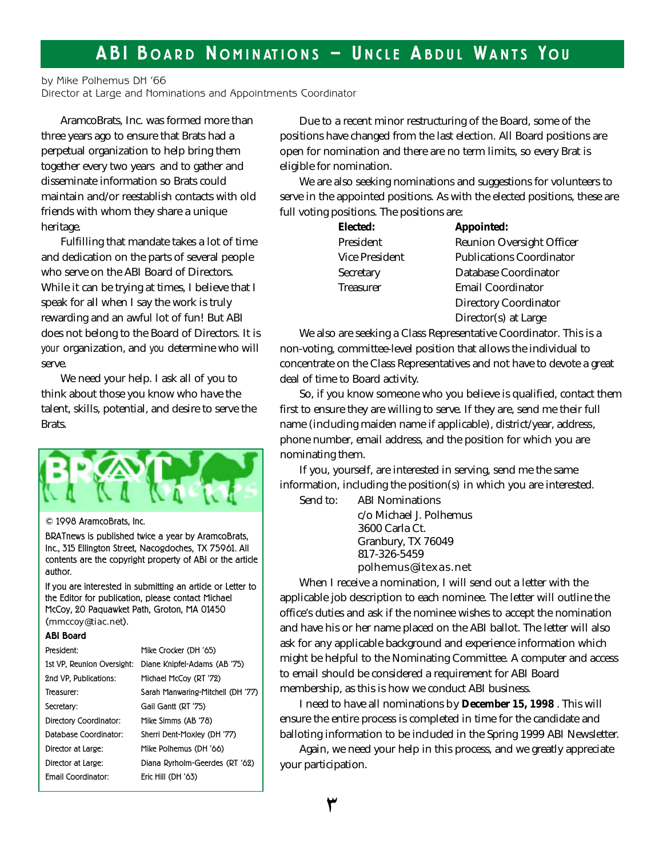## **A B I B O A R <sup>D</sup> N O M <sup>I</sup> N AT I O N S — U N C L E A <sup>B</sup> D U <sup>L</sup> WA N T S Y O U**

by Mike Polhemus DH '66

Director at Large and Nominations and Appointments Coordinator

AramcoBrats, Inc. was formed more than three years ago to ensure that Brats had a perpetual organization to help bring them together every two years and to gather and disseminate information so Brats could maintain and/or reestablish contacts with old friends with whom they share a unique heritage.

Fulfilling that mandate takes a lot of time and dedication on the parts of several people who serve on the ABI Board of Directors. While it can be trying at times, I believe that I speak for all when I say the work is truly rewarding and an awful lot of fun! But ABI does not belong to the Board of Directors. It is *your* organization, and *you* determine who will serve.

We need your help. I ask all of you to think about those you know who have the talent, skills, potential, and desire to serve the Brats.



© 1998 AramcoBrats, Inc.

BRATnews is published twice a year by AramcoBrats, Inc., 315 Ellington Street, Nacogdoches, TX 75961. All contents are the copyright property of ABI or the article author.

If you are interested in submitting an article or Letter to the Editor for publication, please contact Michael McCoy, 20 Paquawket Path, Groton, MA 01450 (mmccoy@tiac.net).

#### **ABI Board**

| President:                 | Mike Crocker (DH '65)             |
|----------------------------|-----------------------------------|
| 1st VP, Reunion Oversight: | Diane Knipfel-Adams (AB '75)      |
| 2nd VP. Publications:      | Michael McCov (RT '72)            |
| Treasurer:                 | Sarah Manwaring-Mitchell (DH '77) |
| Secretary:                 | Gail Gantt (RT '75)               |
| Directory Coordinator:     | Mike Simms (AB '78)               |
| Database Coordinator:      | Sherri Dent-Moxley (DH '77)       |
| Director at Large:         | Mike Polhemus (DH '66)            |
| Director at Large:         | Diana Ryrholm-Geerdes (RT '62)    |
| <b>Fmail Coordinator:</b>  | Eric Hill (DH '63)                |

Due to a recent minor restructuring of the Board, some of the positions have changed from the last election. All Board positions are open for nomination and there are no term limits, so every Brat is eligible for nomination.

We are also seeking nominations and suggestions for volunteers to serve in the appointed positions. As with the elected positions, these are full voting positions. The positions are:

| Elected:         | Appointed:                       |
|------------------|----------------------------------|
| President        | <b>Reunion Oversight Officer</b> |
| Vice President   | <b>Publications Coordinator</b>  |
| Secretary        | Database Coordinator             |
| <b>Treasurer</b> | <b>Email Coordinator</b>         |
|                  | <b>Directory Coordinator</b>     |
|                  | Director(s) at Large             |

We also are seeking a Class Representative Coordinator. This is a non-voting, committee-level position that allows the individual to concentrate on the Class Representatives and not have to devote a great deal of time to Board activity.

So, if you know someone who you believe is qualified, contact them first to ensure they are willing to serve. If they are, send me their full name (including maiden name if applicable), district/year, address, phone number, email address, and the position for which you are nominating them.

If you, yourself, are interested in serving, send me the same information, including the position(s) in which you are interested.

Send to: ABI Nominations

c/o Michael J. Polhemus 3600 Carla Ct. Granbury, TX 76049 817-326-5459 polhemus@itexas.net

When I receive a nomination, I will send out a letter with the applicable job description to each nominee. The letter will outline the office's duties and ask if the nominee wishes to accept the nomination and have his or her name placed on the ABI ballot. The letter will also ask for any applicable background and experience information which might be helpful to the Nominating Committee. A computer and access to email should be considered a requirement for ABI Board membership, as this is how we conduct ABI business.

I need to have all nominations by **December 15, 1998** . This will ensure the entire process is completed in time for the candidate and balloting information to be included in the Spring 1999 ABI Newsletter.

Again, we need your help in this process, and we greatly appreciate your participation.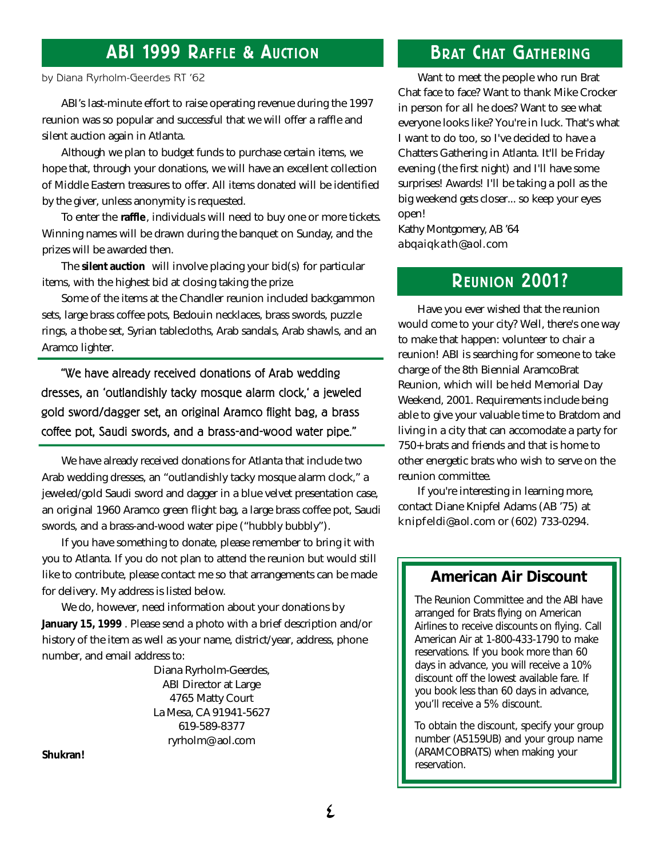## **ABI 1999 RAFFLE & AUCTION**

### by Diana Ryrholm-Geerdes RT '62

ABI's last-minute effort to raise operating revenue during the 1997 reunion was so popular and successful that we will offer a raffle and silent auction again in Atlanta.

Although we plan to budget funds to purchase certain items, we hope that, through your donations, we will have an excellent collection of Middle Eastern treasures to offer. All items donated will be identified by the giver, unless anonymity is requested.

To enter the **raffle** , individuals will need to buy one or more tickets. Winning names will be drawn during the banquet on Sunday, and the prizes will be awarded then.

The **silent auction** will involve placing your bid(s) for particular items, with the highest bid at closing taking the prize.

Some of the items at the Chandler reunion included backgammon sets, large brass coffee pots, Bedouin necklaces, brass swords, puzzle rings, a thobe set, Syrian tablecloths, Arab sandals, Arab shawls, and an Aramco lighter.

"We have already received donations of Arab wedding dresses, an 'outlandishly tacky mosque alarm clock,' a jeweled gold sword/dagger set, an original Aramco flight bag, a brass coffee pot, Saudi swords, and a brass-and-wood water pipe."

We have already received donations for Atlanta that include two Arab wedding dresses, an "outlandishly tacky mosque alarm clock," a jeweled/gold Saudi sword and dagger in a blue velvet presentation case, an original 1960 Aramco green flight bag, a large brass coffee pot, Saudi swords, and a brass-and-wood water pipe ("hubbly bubbly").

If you have something to donate, please remember to bring it with you to Atlanta. If you do not plan to attend the reunion but would still like to contribute, please contact me so that arrangements can be made for delivery. My address is listed below.

We do, however, need information about your donations by **January 15, 1999** . Please send a photo with a brief description and/or history of the item as well as your name, district/year, address, phone number, and email address to:

> Diana Ryrholm-Geerdes, ABI Director at Large 4765 Matty Court La Mesa, CA 91941-5627 619-589-8377 ryrholm@aol.com

*Shukran!*

## **BRAT CHAT GATHERING**

Want to meet the people who run Brat Chat face to face? Want to thank Mike Crocker in person for all he does? Want to see what everyone looks like? You're in luck. That's what I want to do too, so I've decided to have a Chatters Gathering in Atlanta. It'll be Friday evening (the first night) and I'll have some surprises! Awards! I'll be taking a poll as the big weekend gets closer... so keep your eyes open!

Kathy Montgomery, AB '64 abqaiqkath@aol.com

## **REUNION 2001?**

Have you ever wished that the reunion would come to your city? Well, there's one way to make that happen: volunteer to chair a reunion! ABI is searching for someone to take charge of the 8th Biennial AramcoBrat Reunion, which will be held Memorial Day Weekend, 2001. Requirements include being able to give your valuable time to Bratdom and living in a city that can accomodate a party for 750+ brats and friends and that is home to other energetic brats who wish to serve on the reunion committee.

If you're interesting in learning more, contact Diane Knipfel Adams (AB '75) at knipfeldi@aol.com or (602) 733-0294.

### **American Air Discount**

The Reunion Committee and the ABI have arranged for Brats flying on American Airlines to receive discounts on flying. Call American Air at 1-800-433-1790 to make reservations. If you book more than 60 days in advance, you will receive a 10% discount off the lowest available fare. If you book less than 60 days in advance, you'll receive a 5% discount.

To obtain the discount, specify your group number (A5159UB) and your group name (ARAMCOBRATS) when making your reservation.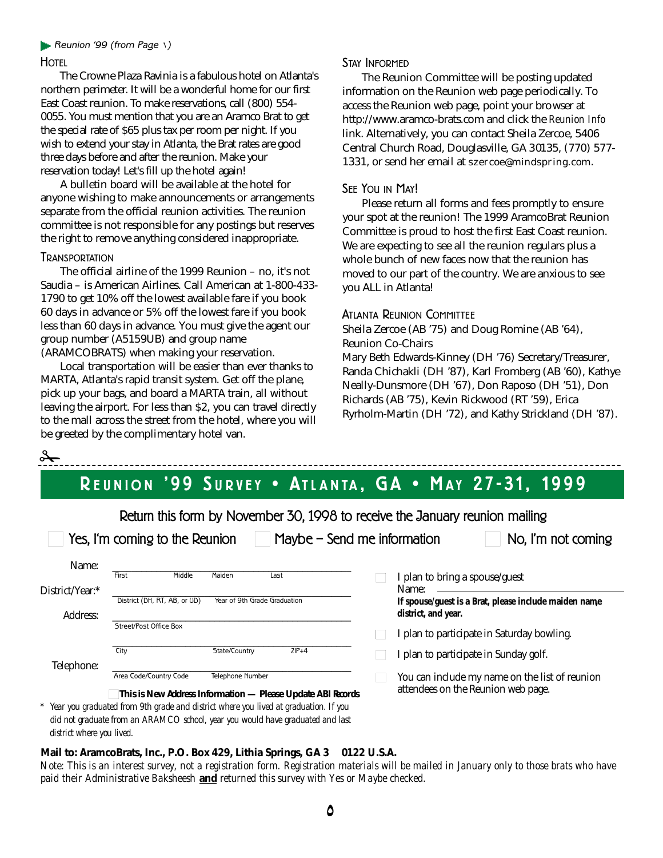#### **Reunion '99 (from Page \)**

### **HOTEL**

The Crowne Plaza Ravinia is a fabulous hotel on Atlanta's northern perimeter. It will be a wonderful home for our first East Coast reunion. To make reservations, call (800) 554-0 055. You must mention that you are an Aramco Brat to get the special rate of \$65 plus tax per room per night. If you wish to extend your stay in Atlanta, the Brat rates are good three days before and after the reunion. Make your reservation today! Let's fill up the hotel again!

A bulletin board will be available at the hotel for anyone wishing to make announcements or arrangements separate from the official reunion activities. The reunion committee is not responsible for any postings but reserves the right to remove anything considered inappropriate.

### **TRANSPORTATION**

 $\frac{1}{\sqrt{2}}$ 

The official airline of the 1999 Reunion – no, it's not Saudia – is American Airlines. Call American at 1-800-433- 1790 to get 10% off the lowest available fare if you book 60 days in advance or 5% off the lowest fare if you book less than 60 days in advance. You must give the agent our group number (A5159UB) and group name (ARAMCOBRATS) when making your reservation.

Local transportation will be easier than ever thanks to MARTA, Atlanta's rapid transit system. Get off the plane, pick up your bags, and board a MARTA train, all without leaving the airport. For less than \$2, you can travel directly to the mall across the street from the hotel, where you will be greeted by the complimentary hotel van.

### STAY INFORMED

The Reunion Committee will be posting updated information on the Reunion web page periodically. To access the Reunion web page, point your browser at http://www.aramco-brats.com and click the *Reunion Info* link. Alternatively, you can contact Sheila Zercoe, 5406 Central Church Road, Douglasville, GA 30135, (770) 577- 1331, or send her email at szercoe@mindspring.com.

### SEE YOU IN MAY!

Please return all forms and fees promptly to ensure your spot at the reunion! The 1999 AramcoBrat Reunion Committee is proud to host the first East Coast reunion. We are expecting to see all the reunion regulars plus a whole bunch of new faces now that the reunion has moved to our part of the country. We are anxious to see you ALL in Atlanta!

### ATLANTA REUNION COMMITTEE

Sheila Zercoe (AB '75) and Doug Romine (AB '64), Reunion Co-Chairs

Mary Beth Edwards-Kinney (DH '76) Secretary/Treasurer, Randa Chichakli (DH '87), Karl Fromberg (AB '60), Kathye Neally-Dunsmore (DH '67), Don Raposo (DH '51), Don Richards (AB '75), Kevin Rickwood (RT '59), Erica Ryrholm-Martin (DH '72), and Kathy Strickland (DH '87).

# **R E U N I O N ' 9 9 S <sup>U</sup> R V E <sup>Y</sup> • AT L A N TA , G A • M A Y 2 7 - 31, 19 9 9**

|                                                                                        | Yes, I'm coming to the Reunion | $Maybe - Send me information$                               |  | Return this form by November 30, 1998 to receive the January reunion mailing<br>No, I'm not coming |
|----------------------------------------------------------------------------------------|--------------------------------|-------------------------------------------------------------|--|----------------------------------------------------------------------------------------------------|
| Name:                                                                                  | Middle<br>First                | Maiden<br>Last                                              |  | I plan to bring a spouse/guest                                                                     |
| District/Year:*                                                                        | District (DH, RT, AB, or UD)   | Year of 9th Grade Graduation                                |  | Name:<br>If spouse/guest is a Brat, please include maiden name                                     |
| Address:                                                                               |                                |                                                             |  | district, and year.                                                                                |
|                                                                                        | Street/Post Office Box         |                                                             |  | I plan to participate in Saturday bowling.                                                         |
|                                                                                        | City                           | State/Country<br>$ZIP+4$                                    |  | I plan to participate in Sunday golf.                                                              |
| Telephone:                                                                             |                                |                                                             |  |                                                                                                    |
|                                                                                        | Area Code/Country Code         | Telephone Number                                            |  | You can include my name on the list of reunion                                                     |
|                                                                                        |                                | This is New Address Information - Please Update ABI Records |  | attendees on the Reunion web page.                                                                 |
| * Year you graduated from 9th grade and district where you lived at graduation. If you |                                |                                                             |  |                                                                                                    |
|                                                                                        |                                |                                                             |  |                                                                                                    |

*did not graduate from an ARAMCO school, year you would have graduated and last district where you lived.*

### **Mail to: AramcoBrats, Inc., P.O. Box 429, Lithia Springs, GA 3 0122 U.S.A.**

*Note: This is an interest survey, not a registration form. Registration materials will be mailed in January only to those brats who have paid their Administrative Baksheesh and returned this survey with Yes or Maybe checked.*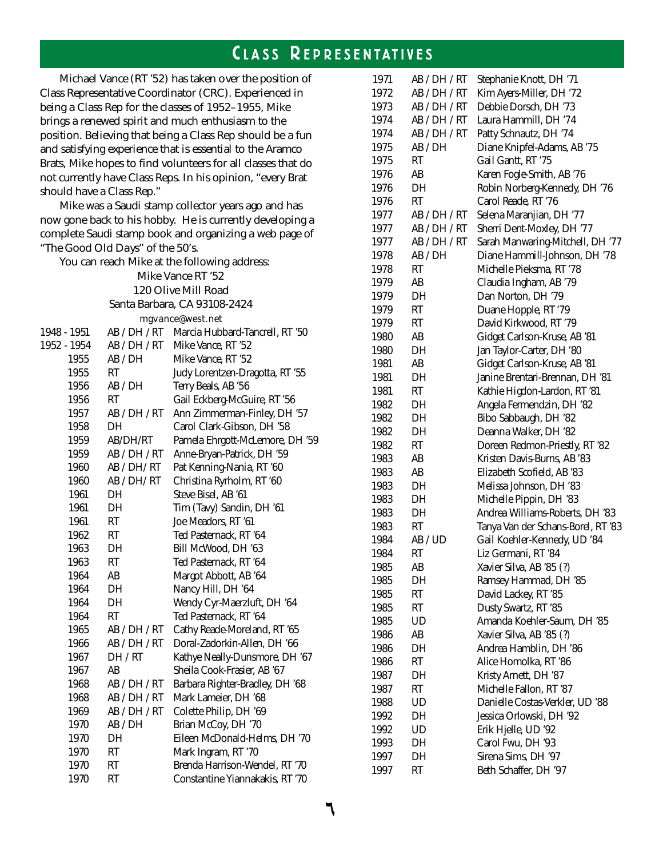## **C L A S S R E P R E S E N TAT I V E <sup>S</sup>**

Michael Vance (RT '52) has taken over the position of Class Representative Coordinator (CRC). Experienced in being a Class Rep for the classes of 1952–1955, Mike brings a renewed spirit and much enthusiasm to the position. Believing that being a Class Rep should be a fun and satisfying experience that is essential to the Aramco Brats, Mike hopes to find volunteers for all classes that do not currently have Class Reps. In his opinion, "every Brat should have a Class Rep."

Mike was a Saudi stamp collector years ago and has now gone back to his hobby. He is currently developing a complete Saudi stamp book and organizing a web page of "The Good Old Days" of the 50's.

You can reach Mike at the following address: Mike Vance RT '52 120 Olive Mill Road Santa Barbara, CA 93108-2424 mgvance@west.net 1948 - 1951 AB / DH / RT Marcia Hubbard-Tancrell, RT '50 1952 - 1954 AB / DH / RT Mike Vance, RT '52 1955 AB / DH Mike Vance, RT '52 1955 RT Judy Lorentzen-Dragotta, RT '55 1956 AB / DH Terry Beals, AB '56 1956 RT Gail Eckberg-McGuire, RT '56 1957 AB / DH / RT Ann Zimmerman-Finley, DH '57 1958 DH Carol Clark-Gibson, DH '58 1959 AB/DH/RT Pamela Ehrgott-McLemore, DH '59 1959 AB / DH / RT Anne-Bryan-Patrick, DH '59 1960 AB / DH/ RT Pat Kenning-Nania, RT '60 1960 AB / DH/ RT Christina Ryrholm, RT '60 1961 DH Steve Bisel, AB '61 1961 DH Tim (Tavy) Sandin, DH '61 1961 RT Joe Meadors, RT '61 1962 RT Ted Pasternack, RT '64 1963 DH Bill McWood, DH '63 1963 RT Ted Pasternack, RT '64 1964 AB Margot Abbott, AB '64 1964 DH Nancy Hill, DH '64 1964 DH Wendy Cyr-Maerzluft, DH '64 1964 RT Ted Pasternack, RT '64 1965 AB / DH / RT Cathy Reade-Moreland, RT '65 1966 AB / DH / RT Doral-Zadorkin-Allen, DH '66 1967 DH / RT Kathye Neally-Dunsmore, DH '67 1967 AB Sheila Cook-Frasier, AB '67 1968 AB / DH / RT Barbara Righter-Bradley, DH '68 1968 AB / DH / RT Mark Lameier, DH '68 1969 AB / DH / RT Colette Philip, DH '69 1970 AB / DH Brian McCoy, DH '70 1970 DH Eileen McDonald-Helms, DH '70

1970 RT Mark Ingram, RT '70

1970 RT Brenda Harrison-Wendel, RT '70 1970 RT Constantine Yiannakakis, RT '70

| 1971 | AB / DH / RT | Stephanie Knott, DH '71            |
|------|--------------|------------------------------------|
| 1972 | AB / DH / RT | Kim Ayers-Miller, DH '72           |
| 1973 | AB / DH / RT | Debbie Dorsch, DH '73              |
| 1974 | AB / DH / RT | Laura Hammill, DH '74              |
| 1974 | AB / DH / RT | Patty Schnautz, DH '74             |
| 1975 | AB / DH      | Diane Knipfel-Adams, AB '75        |
| 1975 | RT           | Gail Gantt, RT '75                 |
| 1976 | AB           | Karen Fogle-Smith, AB '76          |
| 1976 | DH           | Robin Norberg-Kennedy, DH '76      |
| 1976 | RT           | Carol Reade, RT '76                |
| 1977 | AB / DH / RT | Selena Maranjian, DH '77           |
| 1977 | AB / DH / RT | Sherri Dent-Moxley, DH '77         |
| 1977 | AB / DH / RT | Sarah Manwaring-Mitchell, DH '77   |
| 1978 | AB / DH      | Diane Hammill-Johnson, DH '78      |
| 1978 | RT           | Michelle Pieksma, RT '78           |
| 1979 | AB           | Claudia Ingham, AB '79             |
| 1979 | DH           | Dan Norton, DH '79                 |
| 1979 | RT           | Duane Hopple, RT '79               |
| 1979 | RT           | David Kirkwood, RT '79             |
| 1980 | AB           | Gidget Carlson-Kruse, AB '81       |
| 1980 | DH           | Jan Taylor-Carter, DH '80          |
| 1981 | AB           | Gidget Carlson-Kruse, AB '81       |
| 1981 | DH           | Janine Brentari-Brennan, DH '81    |
| 1981 | RT           | Kathie Higdon-Lardon, RT '81       |
| 1982 | DH           | Angela Fermendzin, DH '82          |
| 1982 | DH           | Bibo Sabbaugh, DH '82              |
| 1982 | DH           | Deanna Walker, DH '82              |
| 1982 | RT           | Doreen Redmon-Priestly, RT '82     |
| 1983 | AB           | Kristen Davis-Burns, AB '83        |
| 1983 | AB           | Elizabeth Scofield, AB '83         |
| 1983 | DH           | Melissa Johnson, DH '83            |
| 1983 | DH           | Michelle Pippin, DH '83            |
| 1983 | DH           | Andrea Williams-Roberts, DH '83    |
| 1983 | RT           | Tanya Van der Schans-Borel, RT '83 |
| 1984 | AB / UD      | Gail Koehler-Kennedy, UD '84       |
| 1984 | RT           | Liz Germani, RT '84                |
| 1985 | AB           | Xavier Silva, AB '85 (?)           |
| 1985 | DH           | Ramsey Hammad, DH '85              |
| 1985 | RT           | David Lackey, RT '85               |
| 1985 | RT           | Dusty Swartz, RT '85               |
| 1985 | UD           | Amanda Koehler-Saum, DH '85        |
| 1986 | AB           | Xavier Silva, AB '85 (?)           |
| 1986 | DH           | Andrea Hamblin, DH '86             |
| 1986 | RT           | Alice Homolka, RT '86              |
| 1987 | DH           | Kristy Arnett, DH '87              |
| 1987 | RT           | Michelle Fallon, RT '87            |
| 1988 | UD           | Danielle Costas-Verkler, UD '88    |
| 1992 | DH           | Jessica Orlowski, DH '92           |
| 1992 | UD           | Erik Hjelle, UD '92                |
| 1993 | DH           | Carol Fwu, DH '93                  |
| 1997 | DH           | Sirena Sims, DH '97                |
| 1997 | RT           | Beth Schaffer. DH '97              |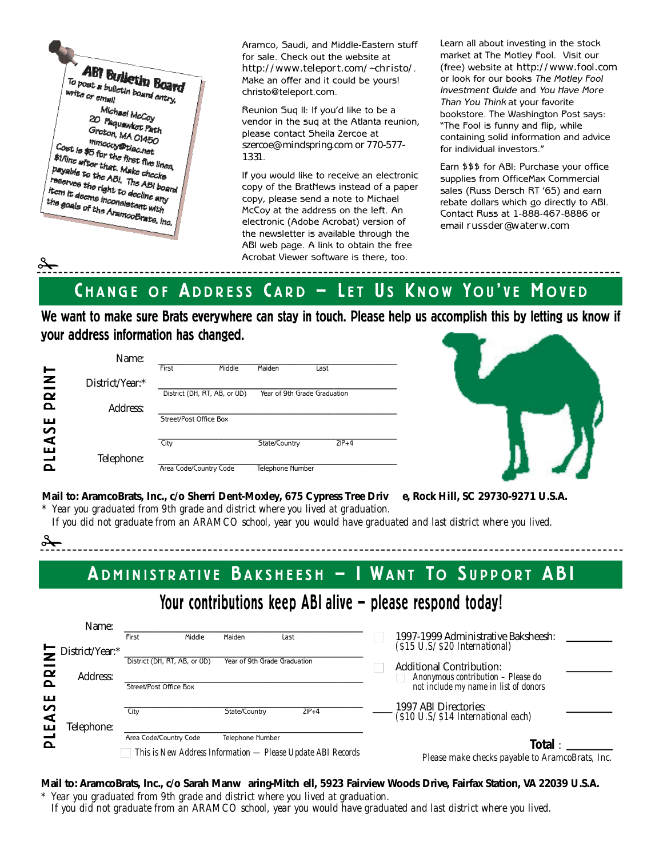**ABT Builletin Board** To post a builderin Board<br>write or email write or email Michael McCoy<br>Pagunut 20 Paquawket Path<br>Groton, M4 of Path Groton, MA 01450 mmccoy@biac.net<br>http://www.ac.net nimecosyliniac.net<br>#1/line after the first five lines<br>#1/line after that. Make chart. \$1/line after the first five line<br>Payable to that. Make checks<br>Payable to the ABI, The ABI Tunner after that. Matches the lines.<br>Payable to the ABI, The ABI board<br>meerves the right to decline.... The ABI. The ABI boats<br>The ABI boats the right to decline any<br>fictn it deems inconsistant any Item it doesn't right to decline any<br>tion it doesn's inconsistent with<br>the goals of the Aramons... the goals of the AramcoBrate, line.<br>The goals of the AramcoBrate, line.

 $\mathscr{L}_{\infty}$ 

 $\frac{1}{\sqrt{2}}$ 

Aramco, Saudi, and Middle-Eastern stuff for sale. Check out the website at http://www.teleport.com/~christo/. Make an offer and it could be yours! christo@teleport.com.

Reunion Suq II: If you'd like to be a vendor in the suq at the Atlanta reunion, please contact Sheila Zercoe at szercoe@mindspring.com or 770-577- 1331.

If you would like to receive an electronic copy of the BratNews instead of a paper copy, please send a note to Michael McCoy at the address on the left. An electronic (Adobe Acrobat) version of the newsletter is available through the ABI web page. A link to obtain the free Acrobat Viewer software is there, too.

Learn all about investing in the stock market at The Motley Fool. Visit our (free) website at http://www.fool.com or look for our books *The Motley Fool Investment Guide* and *You Have More Than You Think* at your favorite bookstore. The Washington Post says: "The Fool is funny and flip, while containing solid information and advice for individual investors."

Earn \$\$\$ for ABI: Purchase your office supplies from OfficeMax Commercial sales (Russ Dersch RT '65) and earn rebate dollars which go directly to ABI. Contact Russ at 1-888-467-8886 or email russder@waterw.com

CHANGE OF ADDRESS CARD - LET US KNOW YOU'VE MOVED

**We want to make sure Brats everywhere can stay in touch. Please help us accomplish this by letting us know if your address information has changed.**

|                           | Name:           |                              |        |                              |         |
|---------------------------|-----------------|------------------------------|--------|------------------------------|---------|
|                           |                 | First                        | Middle | Maiden                       | Last    |
| RINT                      | District/Year:* |                              |        |                              |         |
|                           |                 | District (DH, RT, AB, or UD) |        | Year of 9th Grade Graduation |         |
| $\Omega$                  | Address:        |                              |        |                              |         |
| ш                         |                 | Street/Post Office Box       |        |                              |         |
| S                         |                 |                              |        |                              |         |
| $\blacktriangleleft$<br>ш |                 | City                         |        | State/Country                | $ZIP+4$ |
| پ                         | Telephone:      |                              |        |                              |         |
|                           |                 | Area Code/Country Code       |        | Telephone Number             |         |



**Mail to: AramcoBrats, Inc., c/o Sherri Dent-Moxley, 675 Cypress Tree Driv e, Rock Hill, SC 29730-9271 U.S.A.**

*\* Year you graduated from 9th grade and district where you lived at graduation.*

*If you did not graduate from an ARAMCO school, year you would have graduated and last district where you lived.*

**ADMINISTRATIVE BAKSHEESH - I WANT TO SUPPORT ABI** 

# Your contributions keep ABI alive - please respond today!

|                                   | Name:<br>$\sum$ District/Year:* | Middle<br>First                                        | Maiden<br>Last                                                                         | 1997-1999 Administrative Baksheesh:<br>$(S15$ U.S/ $S20$ International)                                        |
|-----------------------------------|---------------------------------|--------------------------------------------------------|----------------------------------------------------------------------------------------|----------------------------------------------------------------------------------------------------------------|
| $\boldsymbol{\alpha}$<br>$\Omega$ | Address:                        | District (DH, RT, AB, or UD)<br>Street/Post Office Box | Year of 9th Grade Graduation                                                           | <b>Additional Contribution:</b><br>Anonymous contribution – Please do<br>not include my name in list of donors |
| ш<br>n<br>⋖<br>ш                  | Felephone:                      | City                                                   | State/Country<br>$ZIP+4$                                                               | 1997 ABI Directories:<br>(\$10 U.S/ \$14 International each)                                                   |
| $\Omega$                          |                                 | Area Code/Country Code                                 | <b>Telephone Number</b><br>This is New Address Information — Please Update ABI Records | Total:<br>Please make checks payable to AramcoBrats, Inc.                                                      |

**Mail to: AramcoBrats, Inc., c/o Sarah Manw** aring-Mitch ell, 5923 Fairview Woods Drive, Fairfax Station, VA 22039 U.S.A. *\* Year you graduated from 9th grade and district where you lived at graduation.*

*If you did not graduate from an ARAMCO school, year you would have graduated and last district where you lived.*